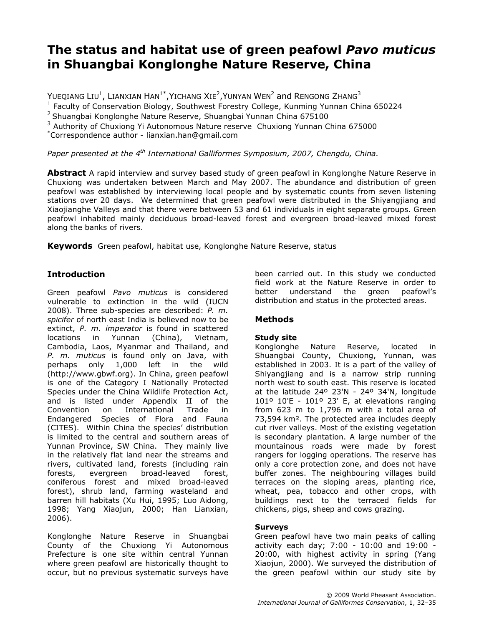# The status and habitat use of green peafowl Pavo muticus in Shuangbai Konglonghe Nature Reserve, China

Yueqiang Liu $^1$ , Lianxian Han $^{1^\ast}$ ,Yichang Xie $^2$ ,Yunyan Wen $^2$  and Rengong Zhang $^3$ 

<sup>1</sup> Faculty of Conservation Biology, Southwest Forestry College, Kunming Yunnan China 650224

<sup>2</sup> Shuangbai Konglonghe Nature Reserve, Shuangbai Yunnan China 675100

<sup>3</sup> Authority of Chuxiong Yi Autonomous Nature reserve Chuxiong Yunnan China 675000

\*Correspondence author - lianxian.han@gmail.com

Paper presented at the  $4<sup>th</sup>$  International Galliformes Symposium, 2007, Chengdu, China.

**Abstract** A rapid interview and survey based study of green peafowl in Konglonghe Nature Reserve in Chuxiong was undertaken between March and May 2007. The abundance and distribution of green peafowl was established by interviewing local people and by systematic counts from seven listening stations over 20 days. We determined that green peafowl were distributed in the Shiyangjiang and Xiaojianghe Valleys and that there were between 53 and 61 individuals in eight separate groups. Green peafowl inhabited mainly deciduous broad-leaved forest and evergreen broad-leaved mixed forest along the banks of rivers.

**Keywords** Green peafowl, habitat use, Konglonghe Nature Reserve, status

# Introduction

Green peafowl Pavo muticus is considered vulnerable to extinction in the wild (IUCN 2008). Three sub-species are described: P. m. spicifer of north east India is believed now to be extinct, P. m. imperator is found in scattered locations in Yunnan (China), Vietnam, Cambodia, Laos, Myanmar and Thailand, and P. m. muticus is found only on Java, with perhaps only 1,000 left in the wild (http://www.gbwf.org). In China, green peafowl is one of the Category I Nationally Protected Species under the China Wildlife Protection Act, and is listed under Appendix II of the Convention on International Trade in Endangered Species of Flora and Fauna (CITES). Within China the species' distribution is limited to the central and southern areas of Yunnan Province, SW China. They mainly live in the relatively flat land near the streams and rivers, cultivated land, forests (including rain forests, evergreen broad-leaved forest, coniferous forest and mixed broad-leaved forest), shrub land, farming wasteland and barren hill habitats (Xu Hui, 1995; Luo Aidong, 1998; Yang Xiaojun, 2000; Han Lianxian, 2006).

Konglonghe Nature Reserve in Shuangbai County of the Chuxiong Yi Autonomous Prefecture is one site within central Yunnan where green peafowl are historically thought to occur, but no previous systematic surveys have been carried out. In this study we conducted field work at the Nature Reserve in order to better understand the green peafowl's distribution and status in the protected areas.

# Methods

# Study site

Konglonghe Nature Reserve, located in Shuangbai County, Chuxiong, Yunnan, was established in 2003. It is a part of the valley of Shiyangjiang and is a narrow strip running north west to south east. This reserve is located at the latitude 24º 23'N - 24º 34'N, longitude 101º 10'E - 101º 23' E, at elevations ranging from 623 m to 1,796 m with a total area of 73,594 km². The protected area includes deeply cut river valleys. Most of the existing vegetation is secondary plantation. A large number of the mountainous roads were made by forest rangers for logging operations. The reserve has only a core protection zone, and does not have buffer zones. The neighbouring villages build terraces on the sloping areas, planting rice, wheat, pea, tobacco and other crops, with buildings next to the terraced fields for chickens, pigs, sheep and cows grazing.

## Surveys

Green peafowl have two main peaks of calling activity each day; 7:00 - 10:00 and 19:00 - 20:00, with highest activity in spring (Yang Xiaojun, 2000). We surveyed the distribution of the green peafowl within our study site by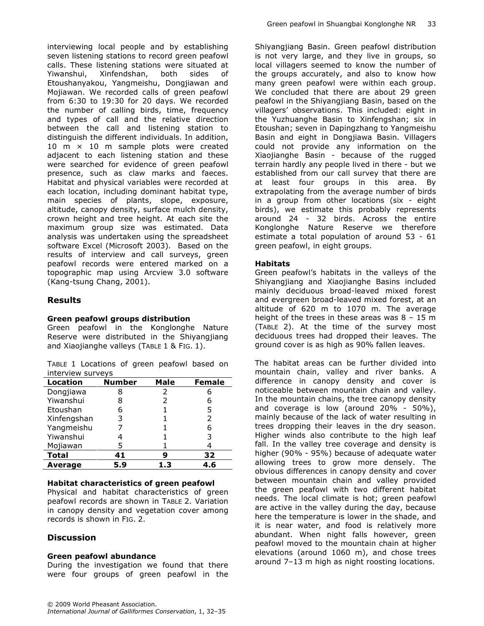interviewing local people and by establishing seven listening stations to record green peafowl calls. These listening stations were situated at Yiwanshui, Xinfendshan, both sides of Etoushanyakou, Yangmeishu, Dongjiawan and Mojiawan. We recorded calls of green peafowl from 6:30 to 19:30 for 20 days. We recorded the number of calling birds, time, frequency and types of call and the relative direction between the call and listening station to distinguish the different individuals. In addition, 10 m  $\times$  10 m sample plots were created adjacent to each listening station and these were searched for evidence of green peafowl presence, such as claw marks and faeces. Habitat and physical variables were recorded at each location, including dominant habitat type, main species of plants, slope, exposure, altitude, canopy density, surface mulch density, crown height and tree height. At each site the maximum group size was estimated. Data analysis was undertaken using the spreadsheet software Excel (Microsoft 2003). Based on the results of interview and call surveys, green peafowl records were entered marked on a topographic map using Arcview 3.0 software (Kang-tsung Chang, 2001).

## Results

#### Green peafowl groups distribution

Green peafowl in the Konglonghe Nature Reserve were distributed in the Shiyangjiang and Xiaojianghe valleys (TABLE 1 & FIG. 1).

TABLE 1 Locations of green peafowl based on interview surveys

| Location     | <b>Number</b> | Male | <b>Female</b> |  |
|--------------|---------------|------|---------------|--|
| Dongjiawa    | 8             | 2    |               |  |
| Yiwanshui    | 8             | 2    |               |  |
| Etoushan     | 6             |      | 5             |  |
| Xinfengshan  | 3             |      |               |  |
| Yangmeishu   |               |      | 6             |  |
| Yiwanshui    |               |      |               |  |
| Mojiawan     | 5             |      |               |  |
| <b>Total</b> | 41            |      | 32            |  |
| Average      | 5.9           | 1.3  | 4.6           |  |

#### Habitat characteristics of green peafowl

Physical and habitat characteristics of green peafowl records are shown in TABLE 2. Variation in canopy density and vegetation cover among records is shown in FIG. 2.

# **Discussion**

## Green peafowl abundance

During the investigation we found that there were four groups of green peafowl in the Shiyangjiang Basin. Green peafowl distribution is not very large, and they live in groups, so local villagers seemed to know the number of the groups accurately, and also to know how many green peafowl were within each group. We concluded that there are about 29 green peafowl in the Shiyangjiang Basin, based on the villagers' observations. This included: eight in the Yuzhuanghe Basin to Xinfengshan; six in Etoushan; seven in Dapingzhang to Yangmeishu Basin and eight in Dongjiawa Basin. Villagers could not provide any information on the Xiaojianghe Basin - because of the rugged terrain hardly any people lived in there - but we established from our call survey that there are at least four groups in this area. By extrapolating from the average number of birds in a group from other locations (six - eight birds), we estimate this probably represents around 24 - 32 birds. Across the entire Konglonghe Nature Reserve we therefore estimate a total population of around 53 - 61 green peafowl, in eight groups.

## **Habitats**

Green peafowl's habitats in the valleys of the Shiyangjiang and Xiaojianghe Basins included mainly deciduous broad-leaved mixed forest and evergreen broad-leaved mixed forest, at an altitude of 620 m to 1070 m. The average height of the trees in these areas was 8 – 15 m (TABLE 2). At the time of the survey most deciduous trees had dropped their leaves. The ground cover is as high as 90% fallen leaves.

The habitat areas can be further divided into mountain chain, valley and river banks. A difference in canopy density and cover is noticeable between mountain chain and valley. In the mountain chains, the tree canopy density and coverage is low (around 20% - 50%), mainly because of the lack of water resulting in trees dropping their leaves in the dry season. Higher winds also contribute to the high leaf fall. In the valley tree coverage and density is higher (90% - 95%) because of adequate water allowing trees to grow more densely. The obvious differences in canopy density and cover between mountain chain and valley provided the green peafowl with two different habitat needs. The local climate is hot; green peafowl are active in the valley during the day, because here the temperature is lower in the shade, and it is near water, and food is relatively more abundant. When night falls however, green peafowl moved to the mountain chain at higher elevations (around 1060 m), and chose trees around 7–13 m high as night roosting locations.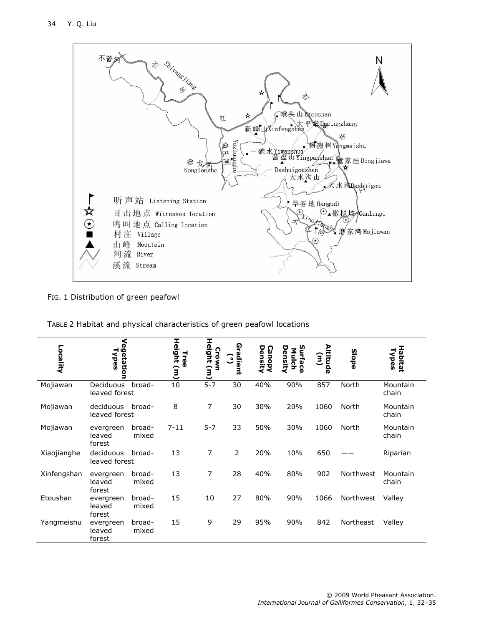

## FIG. 1 Distribution of green peafowl

| TABLE 2 Habitat and physical characteristics of green peafowl locations |  |  |  |  |  |
|-------------------------------------------------------------------------|--|--|--|--|--|
|-------------------------------------------------------------------------|--|--|--|--|--|

| Locality    | Vegetation<br>Npes            |                 | Height<br><b>Lee</b><br>$\widehat{a}$ | I<br>leight<br>Crown<br>$\mathbf{E}$ | ໑<br>۵<br>rdient<br>(° ) | Densi<br>Canol<br>হ | <u>ທ</u><br>Density<br>Mulch<br>urface | ltitude<br><u>ទ្</u> | <b>Slope</b> | Habitat<br>Types  |
|-------------|-------------------------------|-----------------|---------------------------------------|--------------------------------------|--------------------------|---------------------|----------------------------------------|----------------------|--------------|-------------------|
| Mojiawan    | Deciduous<br>leaved forest    | broad-          | 10                                    | $5 - 7$                              | 30                       | 40%                 | 90%                                    | 857                  | North        | Mountain<br>chain |
| Mojiawan    | deciduous<br>leaved forest    | broad-          | 8                                     | 7                                    | 30                       | 30%                 | 20%                                    | 1060                 | North        | Mountain<br>chain |
| Mojiawan    | evergreen<br>leaved<br>forest | broad-<br>mixed | $7 - 11$                              | $5 - 7$                              | 33                       | 50%                 | 30%                                    | 1060                 | North        | Mountain<br>chain |
| Xiaojianghe | deciduous<br>leaved forest    | broad-          | 13                                    | 7                                    | $\overline{2}$           | 20%                 | 10%                                    | 650                  |              | Riparian          |
| Xinfengshan | evergreen<br>leaved<br>forest | broad-<br>mixed | 13                                    | 7                                    | 28                       | 40%                 | 80%                                    | 902                  | Northwest    | Mountain<br>chain |
| Etoushan    | evergreen<br>leaved<br>forest | broad-<br>mixed | 15                                    | 10                                   | 27                       | 80%                 | 90%                                    | 1066                 | Northwest    | Valley            |
| Yangmeishu  | evergreen<br>leaved<br>forest | broad-<br>mixed | 15                                    | 9                                    | 29                       | 95%                 | 90%                                    | 842                  | Northeast    | Valley            |